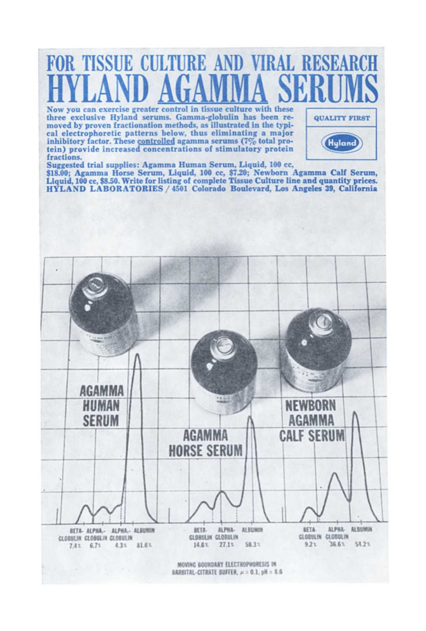

MOVING BOUNDARY ELECTROPHORESIS IN BARBITAL-CITRATE BUFFER,  $\mu$  = 0.1, pH = 8.6